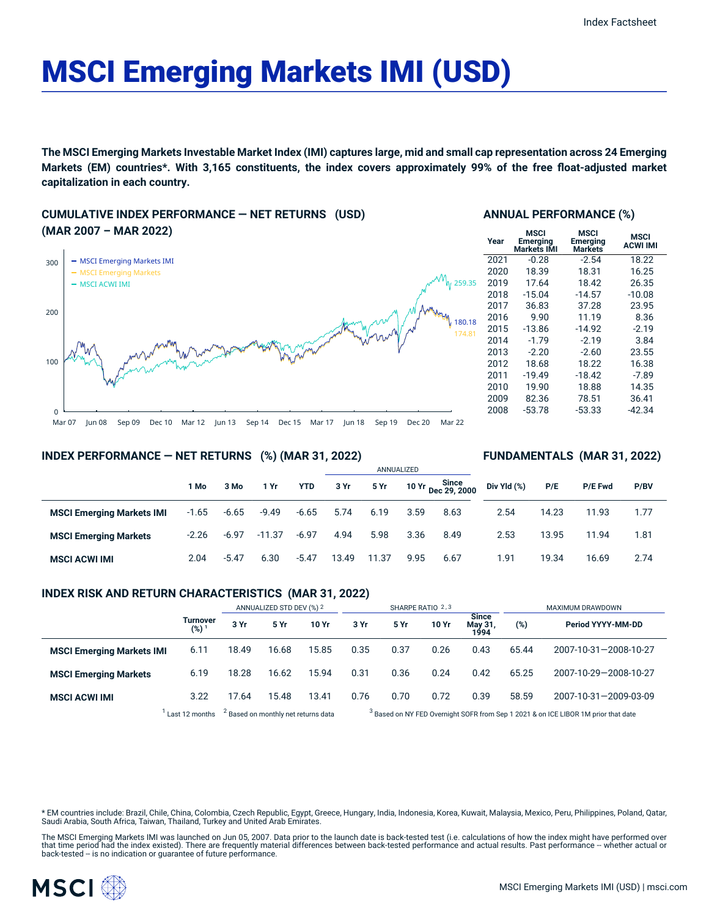# MSCI Emerging Markets IMI (USD)

The MSCI Emerging Markets Investable Market Index (IMI) captures large, mid and small cap representation across 24 Emerging Markets (EM) countries\*. With 3,165 constituents, the index covers approximately 99% of the free float-adjusted market **capitalization in each country.**

**CUMULATIVE INDEX PERFORMANCE — NET RETURNS (USD) (MAR 2007 – MAR 2022)**



#### **ANNUAL PERFORMANCE (%)**

| Year | MSCI<br><b>Emerging</b><br>Markets IMI | MSCI<br>Emerging<br>Markets | <b>MSCI</b><br><b>ACWI IMI</b> |
|------|----------------------------------------|-----------------------------|--------------------------------|
| 2021 | $-0.28$                                | $-2.54$                     | 18.22                          |
| 2020 | 18.39                                  | 18.31                       | 16.25                          |
| 2019 | 17.64                                  | 18.42                       | 26.35                          |
| 2018 | $-15.04$                               | $-14.57$                    | $-10.08$                       |
| 2017 | 36.83                                  | 37.28                       | 23.95                          |
| 2016 | 9.90                                   | 11.19                       | 8.36                           |
| 2015 | $-13.86$                               | $-14.92$                    | $-2.19$                        |
| 2014 | $-1.79$                                | $-2.19$                     | 3.84                           |
| 2013 | $-2.20$                                | $-2.60$                     | 23.55                          |
| 2012 | 18.68                                  | 18.22                       | 16.38                          |
| 2011 | $-19.49$                               | $-18.42$                    | $-7.89$                        |
| 2010 | 19.90                                  | 18.88                       | 14.35                          |
| 2009 | 82.36                                  | 78.51                       | 36.41                          |
| 2008 | $-53.78$                               | $-53.33$                    | -42.34                         |
|      |                                        |                             |                                |

**FUNDAMENTALS (MAR 31, 2022)**

#### **INDEX PERFORMANCE — NET RETURNS (%) (MAR 31, 2022)**

|                                  |         |         |          |            | ANNUALIZED |       |      |                                    |             |       |                |      |
|----------------------------------|---------|---------|----------|------------|------------|-------|------|------------------------------------|-------------|-------|----------------|------|
|                                  | 1 Mo    | 3 Mo    | 1 Yr     | <b>YTD</b> | 3 Yr       | 5 Yr  |      | <b>Since</b><br>10 Yr Dec 29, 2000 | Div Yld (%) | P/E   | <b>P/E Fwd</b> | P/BV |
| <b>MSCI Emerging Markets IMI</b> | $-1.65$ | $-6.65$ | $-9.49$  | $-6.65$    | 5.74       | 6.19  | 3.59 | 8.63                               | 2.54        | 14.23 | 11.93          | 1.77 |
| <b>MSCI Emerging Markets</b>     | $-2.26$ | $-6.97$ | $-11.37$ | $-6.97$    | 4.94       | 5.98  | 3.36 | 8.49                               | 2.53        | 13.95 | 11.94          | 1.81 |
| <b>MSCI ACWI IMI</b>             | 2.04    | $-5.47$ | 6.30     | $-5.47$    | 13.49      | 11.37 | 9.95 | 6.67                               | 1.91        | 19.34 | 16.69          | 2.74 |

# **INDEX RISK AND RETURN CHARACTERISTICS (MAR 31, 2022)**

|                                  |                              | ANNUALIZED STD DEV (%) 2 |                                                |       | SHARPE RATIO 2,3 |                                                                                               |       |                                 | MAXIMUM DRAWDOWN |                       |  |
|----------------------------------|------------------------------|--------------------------|------------------------------------------------|-------|------------------|-----------------------------------------------------------------------------------------------|-------|---------------------------------|------------------|-----------------------|--|
|                                  | Turnover<br>(%) <sup>1</sup> | 3 Yr                     | 5 Yr                                           | 10 Yr | 3 Yr             | 5 Yr                                                                                          | 10 Yr | <b>Since</b><br>May 31,<br>1994 | (%)              | Period YYYY-MM-DD     |  |
| <b>MSCI Emerging Markets IMI</b> | 6.11                         | 18.49                    | 16.68                                          | 15.85 | 0.35             | 0.37                                                                                          | 0.26  | 0.43                            | 65.44            | 2007-10-31-2008-10-27 |  |
| <b>MSCI Emerging Markets</b>     | 6.19                         | 18.28                    | 16.62                                          | 15.94 | 0.31             | 0.36                                                                                          | 0.24  | 0.42                            | 65.25            | 2007-10-29-2008-10-27 |  |
| <b>MSCI ACWI IMI</b>             | 3.22                         | 17.64                    | 15.48                                          | 13.41 | 0.76             | 0.70                                                                                          | 0.72  | 0.39                            | 58.59            | 2007-10-31-2009-03-09 |  |
|                                  | Last 12 months               |                          | <sup>2</sup> Based on monthly net returns data |       |                  | <sup>3</sup> Based on NY FED Overnight SOFR from Sep 1 2021 & on ICE LIBOR 1M prior that date |       |                                 |                  |                       |  |

\* EM countries include: Brazil, Chile, China, Colombia, Czech Republic, Egypt, Greece, Hungary, India, Indonesia, Korea, Kuwait, Malaysia, Mexico, Peru, Philippines, Poland, Qatar, Saudi Arabia, South Africa, Taiwan, Thailand, Turkey and United Arab Emirates.

The MSCI Emerging Markets IMI was launched on Jun 05, 2007. Data prior to the launch date is back-tested test (i.e. calculations of how the index might have performed over that time period had the index existed). There are frequently material differences between back-tested performance and actual results. Past performance -- whether actual or<br>back-tested -- is no indication or guarantee of f

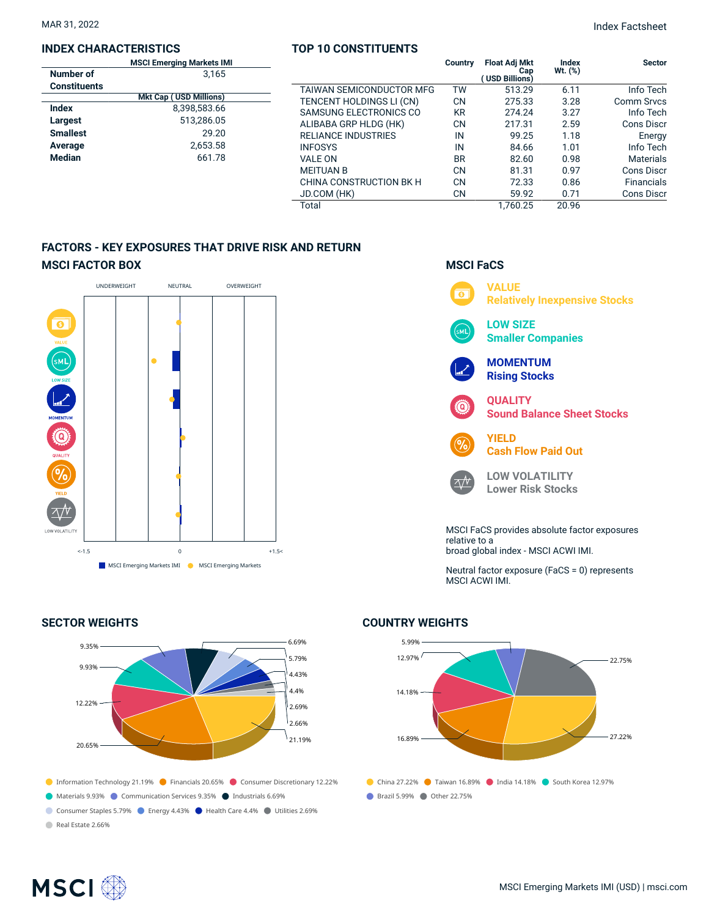# **INDEX CHARACTERISTICS**

# **TOP 10 CONSTITUENTS**

|                     | <b>MSCI Emerging Markets IMI</b> |                            | Country   | <b>Float Adj Mkt</b>  | Index        | <b>Sector</b>     |
|---------------------|----------------------------------|----------------------------|-----------|-----------------------|--------------|-------------------|
| Number of           | 3,165                            |                            |           | Cap<br>(USD Billions) | $Wt.$ $(\%)$ |                   |
| <b>Constituents</b> |                                  | TAIWAN SEMICONDUCTOR MFG   | <b>TW</b> | 513.29                | 6.11         | Info Tech         |
|                     | <b>Mkt Cap (USD Millions)</b>    | TENCENT HOLDINGS LI (CN)   | <b>CN</b> | 275.33                | 3.28         | <b>Comm Srvcs</b> |
| <b>Index</b>        | 8,398,583.66                     | SAMSUNG ELECTRONICS CO     | <b>KR</b> | 274.24                | 3.27         | Info Tech         |
| Largest             | 513,286.05                       | ALIBABA GRP HLDG (HK)      | <b>CN</b> | 217.31                | 2.59         | <b>Cons Discr</b> |
| <b>Smallest</b>     | 29.20                            | <b>RELIANCE INDUSTRIES</b> | IN        | 99.25                 | 1.18         | Energy            |
| Average             | 2,653.58                         | <b>INFOSYS</b>             | IN        | 84.66                 | 1.01         | Info Tech         |
| Median              | 661.78                           | <b>VALE ON</b>             | <b>BR</b> | 82.60                 | 0.98         | <b>Materials</b>  |
|                     |                                  | <b>MEITUAN B</b>           | <b>CN</b> | 81.31                 | 0.97         | <b>Cons Discr</b> |
|                     |                                  | CHINA CONSTRUCTION BK H    | <b>CN</b> | 72.33                 | 0.86         | <b>Financials</b> |
|                     |                                  | JD.COM (HK)                | <b>CN</b> | 59.92                 | 0.71         | <b>Cons Discr</b> |
|                     |                                  | Total                      |           | 1.760.25              | 20.96        |                   |

# **FACTORS - KEY EXPOSURES THAT DRIVE RISK AND RETURN MSCI FACTOR BOX**



# **SECTOR WEIGHTS**



Real Estate 2.66%

# **MSCI FaCS**



broad global index - MSCI ACWI IMI.

Neutral factor exposure (FaCS = 0) represents MSCI ACWI IMI.

# **COUNTRY WEIGHTS**